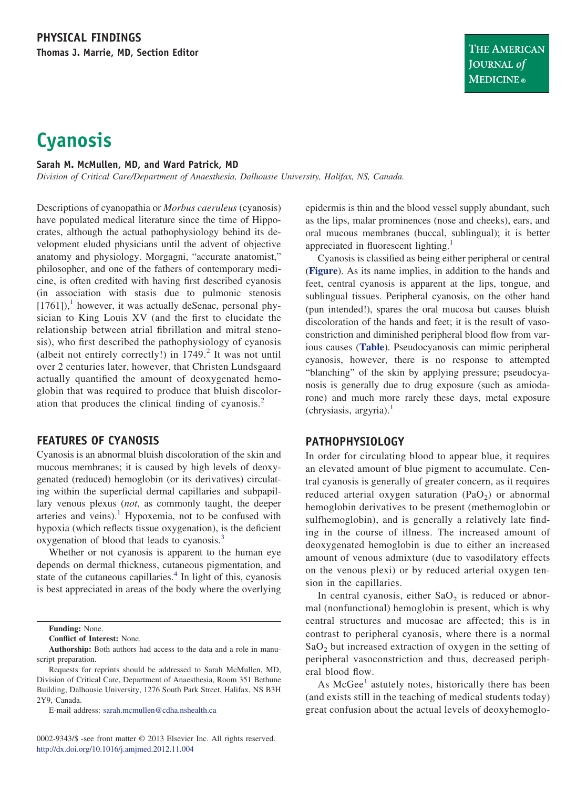# **Cyanosis**

#### **Sarah M. McMullen, MD, and Ward Patrick, MD**

*Division of Critical Care/Department of Anaesthesia, Dalhousie University, Halifax, NS, Canada.*

Descriptions of cyanopathia or *Morbus caeruleus* (cyanosis) have populated medical literature since the time of Hippocrates, although the actual pathophysiology behind its development eluded physicians until the advent of objective anatomy and physiology. Morgagni, "accurate anatomist," philosopher, and one of the fathers of contemporary medicine, is often credited with having first described cyanosis (in association with stasis due to pulmonic stenosis  $[1761]$  $[1761]$  $[1761]$ ,<sup>1</sup> however, it was actually deSenac, personal physician to King Louis XV (and the first to elucidate the relationship between atrial fibrillation and mitral stenosis), who first described the pathophysiology of cyanosis (albeit not entirely correctly!) in  $1749$ <sup>[2](#page-2-1)</sup> It was not until over 2 centuries later, however, that Christen Lundsgaard actually quantified the amount of deoxygenated hemoglobin that was required to produce that bluish discoloration that produces the clinical finding of cyanosis.[2](#page-2-1)

### **FEATURES OF CYANOSIS**

Cyanosis is an abnormal bluish discoloration of the skin and mucous membranes; it is caused by high levels of deoxygenated (reduced) hemoglobin (or its derivatives) circulating within the superficial dermal capillaries and subpapillary venous plexus (*not*, as commonly taught, the deeper arteries and veins).<sup>[1](#page-2-0)</sup> Hypoxemia, not to be confused with hypoxia (which reflects tissue oxygenation), is the deficient oxygenation of blood that leads to cyanosis.[3](#page-2-2)

Whether or not cyanosis is apparent to the human eye depends on dermal thickness, cutaneous pigmentation, and state of the cutaneous capillaries. $4$  In light of this, cyanosis is best appreciated in areas of the body where the overlying

**Funding:** None.

**Conflict of Interest:** None.

E-mail address: [sarah.mcmullen@cdha.nshealth.ca](mailto:sarah.mcmullen@cdha.nshealth.ca)

epidermis is thin and the blood vessel supply abundant, such as the lips, malar prominences (nose and cheeks), ears, and oral mucous membranes (buccal, sublingual); it is better appreciated in fluorescent lighting.<sup>[1](#page-2-0)</sup>

Cyanosis is classified as being either peripheral or central (**[Figure](#page-1-0)**). As its name implies, in addition to the hands and feet, central cyanosis is apparent at the lips, tongue, and sublingual tissues. Peripheral cyanosis, on the other hand (pun intended!), spares the oral mucosa but causes bluish discoloration of the hands and feet; it is the result of vasoconstriction and diminished peripheral blood flow from various causes (**[Table](#page-1-1)**). Pseudocyanosis can mimic peripheral cyanosis, however, there is no response to attempted "blanching" of the skin by applying pressure; pseudocyanosis is generally due to drug exposure (such as amiodarone) and much more rarely these days, metal exposure  $(chrysiasis, argyria).<sup>1</sup>$  $(chrysiasis, argyria).<sup>1</sup>$  $(chrysiasis, argyria).<sup>1</sup>$ 

### **PATHOPHYSIOLOGY**

In order for circulating blood to appear blue, it requires an elevated amount of blue pigment to accumulate. Central cyanosis is generally of greater concern, as it requires reduced arterial oxygen saturation  $(PaO<sub>2</sub>)$  or abnormal hemoglobin derivatives to be present (methemoglobin or sulfhemoglobin), and is generally a relatively late finding in the course of illness. The increased amount of deoxygenated hemoglobin is due to either an increased amount of venous admixture (due to vasodilatory effects on the venous plexi) or by reduced arterial oxygen tension in the capillaries.

In central cyanosis, either  $SaO<sub>2</sub>$  is reduced or abnormal (nonfunctional) hemoglobin is present, which is why central structures and mucosae are affected; this is in contrast to peripheral cyanosis, where there is a normal  $SaO<sub>2</sub>$  but increased extraction of oxygen in the setting of peripheral vasoconstriction and thus, decreased peripheral blood flow.

As  $McGee<sup>1</sup>$  $McGee<sup>1</sup>$  $McGee<sup>1</sup>$  astutely notes, historically there has been (and exists still in the teaching of medical students today) great confusion about the actual levels of deoxyhemoglo-

**Authorship:** Both authors had access to the data and a role in manuscript preparation.

Requests for reprints should be addressed to Sarah McMullen, MD, Division of Critical Care, Department of Anaesthesia, Room 351 Bethune Building, Dalhousie University, 1276 South Park Street, Halifax, NS B3H 2Y9, Canada.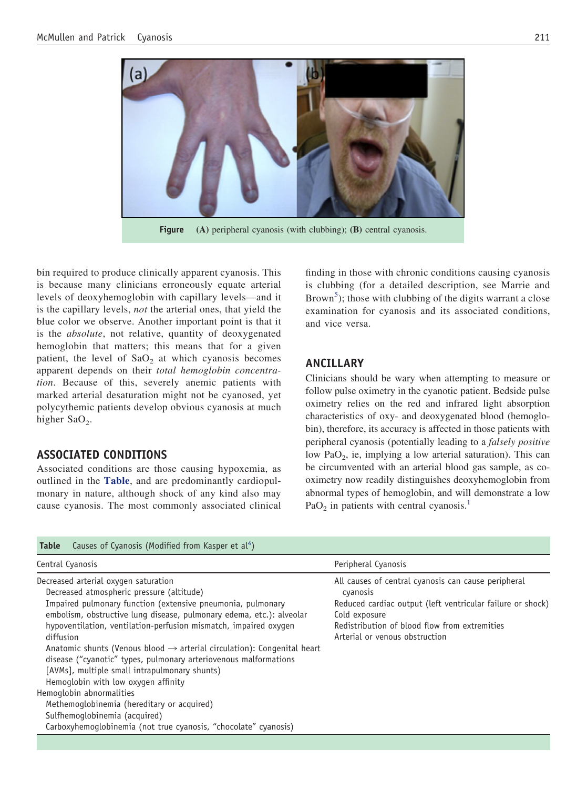

**Figure (A)** peripheral cyanosis (with clubbing); **(B)** central cyanosis.

<span id="page-1-0"></span>bin required to produce clinically apparent cyanosis. This is because many clinicians erroneously equate arterial levels of deoxyhemoglobin with capillary levels—and it is the capillary levels, *not* the arterial ones, that yield the blue color we observe. Another important point is that it is the *absolute*, not relative, quantity of deoxygenated hemoglobin that matters; this means that for a given patient, the level of  $SaO<sub>2</sub>$  at which cyanosis becomes apparent depends on their *total hemoglobin concentration*. Because of this, severely anemic patients with marked arterial desaturation might not be cyanosed, yet polycythemic patients develop obvious cyanosis at much higher  $SaO<sub>2</sub>$ .

### **ASSOCIATED CONDITIONS**

Associated conditions are those causing hypoxemia, as outlined in the **[Table](#page-1-1)**, and are predominantly cardiopulmonary in nature, although shock of any kind also may cause cyanosis. The most commonly associated clinical finding in those with chronic conditions causing cyanosis is clubbing (for a detailed description, see Marrie and Brown<sup>[5](#page-2-4)</sup>); those with clubbing of the digits warrant a close examination for cyanosis and its associated conditions, and vice versa.

# **ANCILLARY**

Clinicians should be wary when attempting to measure or follow pulse oximetry in the cyanotic patient. Bedside pulse oximetry relies on the red and infrared light absorption characteristics of oxy- and deoxygenated blood (hemoglobin), therefore, its accuracy is affected in those patients with peripheral cyanosis (potentially leading to a *falsely positive* low PaO<sub>2</sub>, ie, implying a low arterial saturation). This can be circumvented with an arterial blood gas sample, as cooximetry now readily distinguishes deoxyhemoglobin from abnormal types of hemoglobin, and will demonstrate a low  $PaO<sub>2</sub>$  in patients with central cyanosis.<sup>[1](#page-2-0)</sup>

<span id="page-1-1"></span>

| Table Causes of Cyanosis (Modified from Kasper et al <sup>4</sup> ) |  |  |  |  |  |  |  |  |  |
|---------------------------------------------------------------------|--|--|--|--|--|--|--|--|--|
|---------------------------------------------------------------------|--|--|--|--|--|--|--|--|--|

| Central Cyanosis                                                                                                                                                                                                                                                                                                                                                                                                                                                                                                                                                                                                                                                                                                                           | Peripheral Cyanosis                                                                                                                                                                                                               |
|--------------------------------------------------------------------------------------------------------------------------------------------------------------------------------------------------------------------------------------------------------------------------------------------------------------------------------------------------------------------------------------------------------------------------------------------------------------------------------------------------------------------------------------------------------------------------------------------------------------------------------------------------------------------------------------------------------------------------------------------|-----------------------------------------------------------------------------------------------------------------------------------------------------------------------------------------------------------------------------------|
| Decreased arterial oxygen saturation<br>Decreased atmospheric pressure (altitude)<br>Impaired pulmonary function (extensive pneumonia, pulmonary<br>embolism, obstructive lung disease, pulmonary edema, etc.): alveolar<br>hypoventilation, ventilation-perfusion mismatch, impaired oxygen<br>diffusion<br>Anatomic shunts (Venous blood $\rightarrow$ arterial circulation): Congenital heart<br>disease ("cyanotic" types, pulmonary arteriovenous malformations<br>[AVMs], multiple small intrapulmonary shunts)<br>Hemoglobin with low oxygen affinity<br>Hemoglobin abnormalities<br>Methemoglobinemia (hereditary or acquired)<br>Sulfhemoglobinemia (acquired)<br>Carboxyhemoglobinemia (not true cyanosis, "chocolate" cyanosis) | All causes of central cyanosis can cause peripheral<br>cyanosis<br>Reduced cardiac output (left ventricular failure or shock)<br>Cold exposure<br>Redistribution of blood flow from extremities<br>Arterial or venous obstruction |